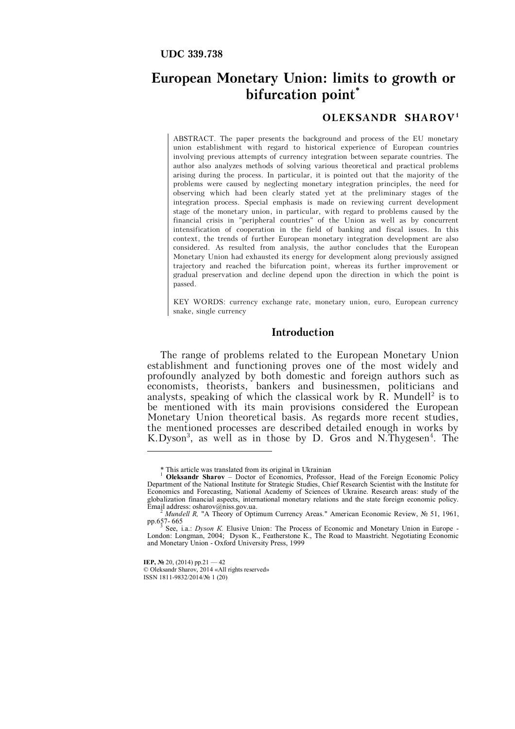# **European Monetary Union: limits to growth or bifurcation point\***

## **OLEKSANDR SHAROV<sup>1</sup>**

ABSTRACT. The paper presents the background and process of the EU monetary union establishment with regard to historical experience of European countries involving previous attempts of currency integration between separate countries. The author also analyzes methods of solving various theoretical and practical problems arising during the process. In particular, it is pointed out that the majority of the problems were caused by neglecting monetary integration principles, the need for observing which had been clearly stated yet at the preliminary stages of the integration process. Special emphasis is made on reviewing current development stage of the monetary union, in particular, with regard to problems caused by the financial crisis in "peripheral countries" of the Union as well as by concurrent intensification of cooperation in the field of banking and fiscal issues. In this context, the trends of further European monetary integration development are also considered. As resulted from analysis, the author concludes that the European Monetary Union had exhausted its energy for development along previously assigned trajectory and reached the bifurcation point, whereas its further improvement or gradual preservation and decline depend upon the direction in which the point is passed.

KEY WORDS: currency exchange rate, monetary union, euro, European currency snake, single currency

#### **Introduction**

The range of problems related to the European Monetary Union establishment and functioning proves one of the most widely and profoundly analyzed by both domestic and foreign authors such as economists, theorists, bankers and businessmen, politicians and analysts, speaking of which the classical work by  $R$ . Mundell<sup>2</sup> is to be mentioned with its main provisions considered the European Monetary Union theoretical basis. As regards more recent studies, the mentioned processes are described detailed enough in works by K.Dyson<sup>3</sup>, as well as in those by D. Gros and N.Thygesen<sup>4</sup>. The

1

<sup>\*</sup> This article was translated from its original in Ukrainian

<sup>&</sup>lt;sup>1</sup> Oleksandr Sharov – Doctor of Economics, Professor, Head of the Foreign Economic Policy Department of the National Institute for Strategic Studies, Chief Research Scientist with the Institute for Economics and Forecasting, National Academy of Sciences of Ukraine. Research areas: study of the globalization financial aspects, international monetary relations and the state foreign economic policy. Email address: osharov@niss.gov.ua.

*Mundell R,* "A Theory of Optimum Currency Areas." American Economic Review, Nº 51, 1961, рр.657- 665<br><sup>3</sup> See, i.a.: *Dyson K*. Elusive Union: The Process of Economic and Monetary Union in Europe -

London: Longman, 2004; Dyson К., Featherstone К., The Road to Maastricht. Negotiating Economic and Monetary Union - Oxford University Press, 1999

**IEP, № 20, (2014) pp.21 — 42** 

<sup>©</sup> Oleksandr Sharov, 2014 «All rights reserved» ISSN 1811-9832/2014/№ 1 (20)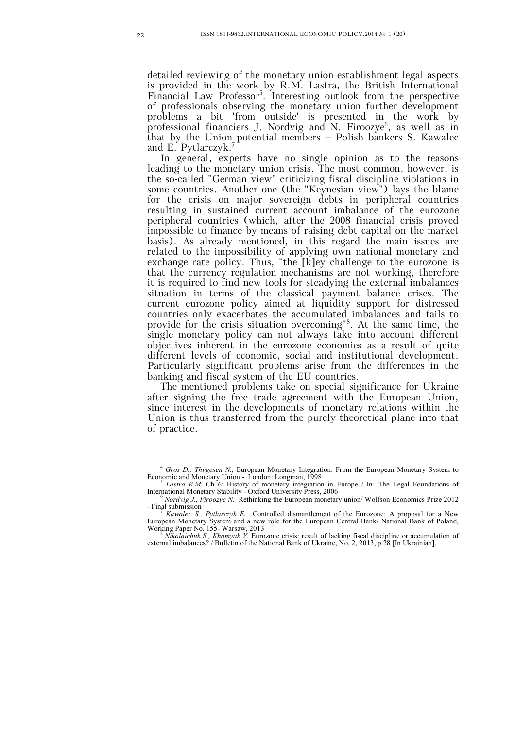detailed reviewing of the monetary union establishment legal aspects is provided in the work by R.M. Lastra, the British International Financial Law Professor<sup>5</sup>. Interesting outlook from the perspective of professionals observing the monetary union further development problems a bit 'from outside' is presented in the work by professional financiers J. Nordvig and N. Firoozye<sup>6</sup>, as well as in that by the Union potential members – Polish bankers S. Kawalec and E. Pytlarczyk.<sup>7</sup>

In general, experts have no single opinion as to the reasons leading to the monetary union crisis. The most common, however, is the so-called "German view" criticizing fiscal discipline violations in some countries. Another one (the "Keynesian view") lays the blame for the crisis on major sovereign debts in peripheral countries resulting in sustained current account imbalance of the eurozone peripheral countries (which, after the 2008 financial crisis proved impossible to finance by means of raising debt capital on the market basis). As already mentioned, in this regard the main issues are related to the impossibility of applying own national monetary and exchange rate policy. Thus, "the [k]ey challenge to the eurozone is that the currency regulation mechanisms are not working, therefore it is required to find new tools for steadying the external imbalances situation in terms of the classical payment balance crises. The current eurozone policy aimed at liquidity support for distressed countries only exacerbates the accumulated imbalances and fails to provide for the crisis situation overcoming"<sup>8</sup> . At the same time, the single monetary policy can not always take into account different objectives inherent in the eurozone economies as a result of quite different levels of economic, social and institutional development. Particularly significant problems arise from the differences in the banking and fiscal system of the EU countries.

The mentioned problems take on special significance for Ukraine after signing the free trade agreement with the European Union, since interest in the developments of monetary relations within the Union is thus transferred from the purely theoretical plane into that of practice.

1

<sup>&</sup>lt;sup>4</sup> Gros D., Thygesen N., European Monetary Integration. From the European Monetary System to Economic and Monetary Union - London: Longman, 1998

<sup>&</sup>lt;sup>5</sup> Lastra R.M. Ch 6: History of monetary integration in Europe / In: The Legal Foundations of International Monetary Stability - Oxford University Press, 2006

<sup>6</sup> *Nordvig J., Firoozye N.* Rethinking the European monetary union/ Wolfson Economics Prize 2012 - Final submission

<sup>7</sup> *Kawalec S., Pytlarczyk E.* Controlled dismantlement of the Eurozone: A proposal for a New European Monetary System and a new role for the European Central Bank/ National Bank of Poland, Working Paper No. 155- Warsaw, 2013 <sup>8</sup> *Nikolaichuk S., Khomyak V.* Eurozone crisis: result of lacking fiscal discipline or accumulation of

external imbalances? / Bulletin of the National Bank of Ukraine, No. 2, 2013, p.28 [In Ukrainian].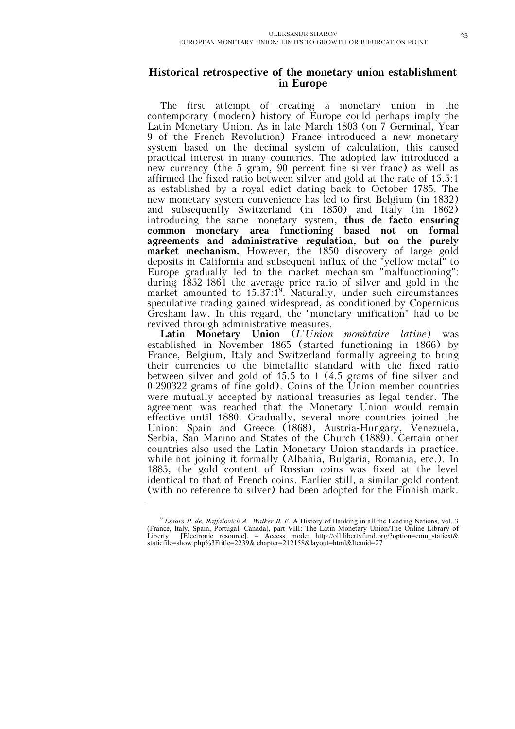# **Historical retrospective of the monetary union establishment in Europe**

The first attempt of creating a monetary union in the contemporary (modern) history of Europe could perhaps imply the Latin Monetary Union. As in late March 1803 (on 7 Germinal, Year 9 of the French Revolution) France introduced a new monetary system based on the decimal system of calculation, this caused practical interest in many countries. The adopted law introduced a new currency (the 5 gram, 90 percent fine silver franc) as well as affirmed the fixed ratio between silver and gold at the rate of 15.5:1 as established by a royal edict dating back to October 1785. The new monetary system convenience has led to first Belgium (in 1832) and subsequently Switzerland (in 1850) and Italy (in 1862) introducing the same monetary system, **thus de facto ensuring common monetary area functioning based not on formal agreements and administrative regulation, but on the purely market mechanism.** However, the 1850 discovery of large gold deposits in California and subsequent influx of the "yellow metal" to Europe gradually led to the market mechanism "malfunctioning": during 1852-1861 the average price ratio of silver and gold in the market amounted to  $15.37:1<sup>9</sup>$ . Naturally, under such circumstances speculative trading gained widespread, as conditioned by Copernicus Gresham law. In this regard, the "monetary unification" had to be revived through administrative measures.

Latin Monetary Union (*L'Union monitaire latine*) was established in November 1865 (started functioning in 1866) by France, Belgium, Italy and Switzerland formally agreeing to bring their currencies to the bimetallic standard with the fixed ratio between silver and gold of 15.5 to 1 (4.5 grams of fine silver and 0.290322 grams of fine gold). Coins of the Union member countries were mutually accepted by national treasuries as legal tender. The agreement was reached that the Monetary Union would remain effective until 1880. Gradually, several more countries joined the Union: Spain and Greece (1868), Austria-Hungary, Venezuela, Serbia, San Marino and States of the Church (1889). Certain other countries also used the Latin Monetary Union standards in practice, while not joining it formally (Albania, Bulgaria, Romania, etc.). In 1885, the gold content of Russian coins was fixed at the level identical to that of French coins. Earlier still, a similar gold content (with no reference to silver) had been adopted for the Finnish mark.

<sup>9</sup> *Essars P. de, Raffalovich A., Walker B. E.* A History of Banking in all the Leading Nations, vol. 3 (France, Italy, Spain, Portugal, Canada), part VIII: The Latin Monetary Union/The Online Library of Liberty [Electronic resource]. – Access mode: http://oll.libertyfund.org/?option=com\_staticxt& staticfile=show.php%3Ftitle=2239& chapter=212158&layout=html&Itemid=27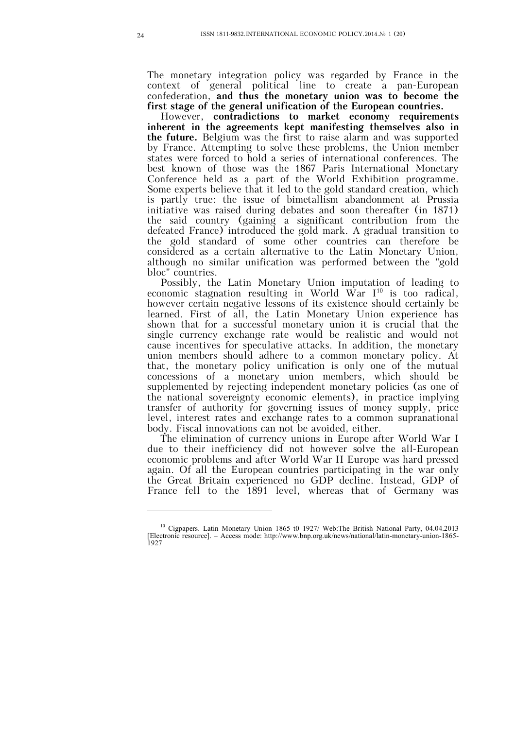The monetary integration policy was regarded by France in the context of general political line to create a pan-European confederation, **and thus the monetary union was to become the first stage of the general unification of the European countries.**

However, **contradictions to market economy requirements inherent in the agreements kept manifesting themselves also in the future.** Belgium was the first to raise alarm and was supported by France. Attempting to solve these problems, the Union member states were forced to hold a series of international conferences. The best known of those was the 1867 Paris International Monetary Conference held as a part of the World Exhibition programme. Some experts believe that it led to the gold standard creation, which is partly true: the issue of bimetallism abandonment at Prussia initiative was raised during debates and soon thereafter (in 1871) the said country (gaining a significant contribution from the defeated France) introduced the gold mark. A gradual transition to the gold standard of some other countries can therefore be considered as a certain alternative to the Latin Monetary Union, although no similar unification was performed between the "gold bloc" countries.

Possibly, the Latin Monetary Union imputation of leading to economic stagnation resulting in World War  $I^{10}$  is too radical, however certain negative lessons of its existence should certainly be learned. First of all, the Latin Monetary Union experience has shown that for a successful monetary union it is crucial that the single currency exchange rate would be realistic and would not cause incentives for speculative attacks. In addition, the monetary union members should adhere to a common monetary policy. At that, the monetary policy unification is only one of the mutual concessions of a monetary union members, which should be supplemented by rejecting independent monetary policies (as one of the national sovereignty economic elements), in practice implying transfer of authority for governing issues of money supply, price level, interest rates and exchange rates to a common supranational body. Fiscal innovations can not be avoided, either.

The elimination of currency unions in Europe after World War I due to their inefficiency did not however solve the all-European economic problems and after World War II Europe was hard pressed again. Of all the European countries participating in the war only the Great Britain experienced no GDP decline. Instead, GDP of France fell to the 1891 level, whereas that of Germany was

<sup>&</sup>lt;sup>10</sup> Cigpapers. Latin Monetary Union 1865 t0 1927/ Web: The British National Party, 04.04.2013 [Electronic resource]. – Access mode: http://www.bnp.org.uk/news/national/latin-monetary-union-1865- 1927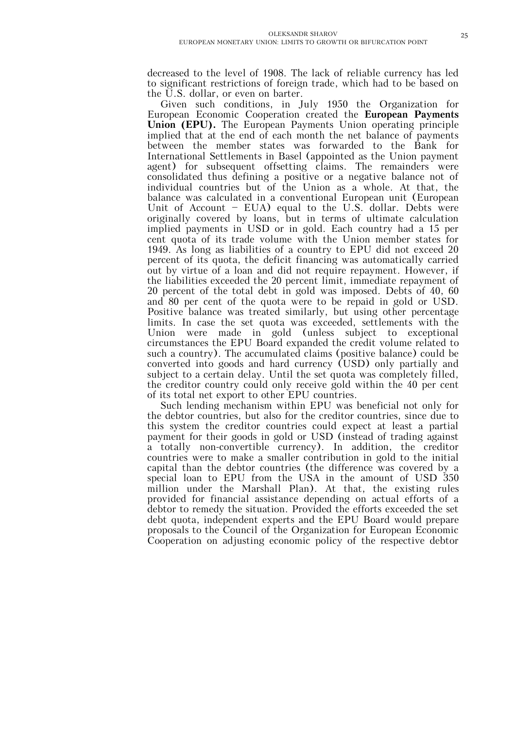decreased to the level of 1908. The lack of reliable currency has led to significant restrictions of foreign trade, which had to be based on the U.S. dollar, or even on barter.

Given such conditions, in July 1950 the Organization for European Economic Cooperation created the **European Payments Union (EPU).** The European Payments Union operating principle implied that at the end of each month the net balance of payments between the member states was forwarded to the Bank for International Settlements in Basel (appointed as the Union payment agent) for subsequent offsetting claims. The remainders were consolidated thus defining a positive or a negative balance not of individual countries but of the Union as a whole. At that, the balance was calculated in a conventional European unit (European Unit of Account – EUA) equal to the U.S. dollar. Debts were originally covered by loans, but in terms of ultimate calculation implied payments in USD or in gold. Each country had a 15 per cent quota of its trade volume with the Union member states for 1949. As long as liabilities of a country to EPU did not exceed 20 percent of its quota, the deficit financing was automatically carried out by virtue of a loan and did not require repayment. However, if the liabilities exceeded the 20 percent limit, immediate repayment of 20 percent of the total debt in gold was imposed. Debts of 40, 60 and 80 per cent of the quota were to be repaid in gold or USD. Positive balance was treated similarly, but using other percentage limits. In case the set quota was exceeded, settlements with the Union were made in gold (unless subject to exceptional circumstances the EPU Board expanded the credit volume related to such a country). The accumulated claims (positive balance) could be converted into goods and hard currency (USD) only partially and subject to a certain delay. Until the set quota was completely filled, the creditor country could only receive gold within the 40 per cent of its total net export to other EPU countries.

Such lending mechanism within EPU was beneficial not only for the debtor countries, but also for the creditor countries, since due to this system the creditor countries could expect at least a partial payment for their goods in gold or USD (instead of trading against a totally non-convertible currency). In addition, the creditor countries were to make a smaller contribution in gold to the initial capital than the debtor countries (the difference was covered by a special loan to EPU from the USA in the amount of USD 350 million under the Marshall Plan). At that, the existing rules provided for financial assistance depending on actual efforts of a debtor to remedy the situation. Provided the efforts exceeded the set debt quota, independent experts and the EPU Board would prepare proposals to the Council of the Organization for European Economic Cooperation on adjusting economic policy of the respective debtor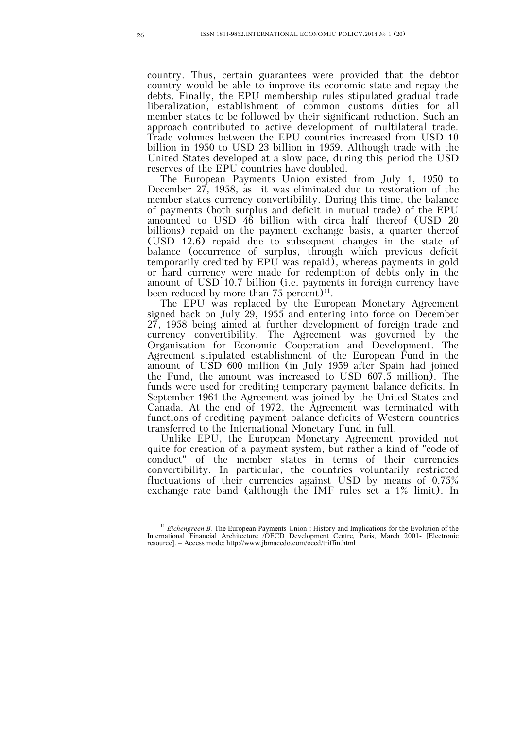country. Thus, certain guarantees were provided that the debtor country would be able to improve its economic state and repay the debts. Finally, the EPU membership rules stipulated gradual trade liberalization, establishment of common customs duties for all member states to be followed by their significant reduction. Such an approach contributed to active development of multilateral trade. Trade volumes between the EPU countries increased from USD 10 billion in 1950 to USD 23 billion in 1959. Although trade with the United States developed at a slow pace, during this period the USD reserves of the EPU countries have doubled.

The European Payments Union existed from July 1, 1950 to December 27, 1958, as it was eliminated due to restoration of the member states currency convertibility. During this time, the balance of payments (both surplus and deficit in mutual trade) of the EPU amounted to USD 46 billion with circa half thereof (USD 20 billions) repaid on the payment exchange basis, a quarter thereof (USD 12.6) repaid due to subsequent changes in the state of balance (occurrence of surplus, through which previous deficit temporarily credited by EPU was repaid), whereas payments in gold or hard currency were made for redemption of debts only in the amount of USD 10.7 billion (i.e. payments in foreign currency have been reduced by more than  $75$  percent)<sup>11</sup>.

The EPU was replaced by the European Monetary Agreement signed back on July 29, 1955 and entering into force on December 27, 1958 being aimed at further development of foreign trade and currency convertibility. The Agreement was governed by the Organisation for Economic Cooperation and Development. The Agreement stipulated establishment of the European Fund in the amount of USD 600 million (in July 1959 after Spain had joined the Fund, the amount was increased to USD 607.5 million). The funds were used for crediting temporary payment balance deficits. In September 1961 the Agreement was joined by the United States and Canada. At the end of 1972, the Agreement was terminated with functions of crediting payment balance deficits of Western countries transferred to the International Monetary Fund in full.

Unlike EPU, the European Monetary Agreement provided not quite for creation of a payment system, but rather a kind of "code of conduct" of the member states in terms of their currencies convertibility. In particular, the countries voluntarily restricted fluctuations of their currencies against USD by means of 0.75% exchange rate band (although the IMF rules set a 1% limit). In

<sup>&</sup>lt;sup>11</sup> *Eichengreen B*. The European Payments Union : History and Implications for the Evolution of the International Financial Architecture /OECD Development Centre, Paris, March 2001- [Electronic resource]. – Access mode: http://www.jbmacedo.com/oecd/triffin.html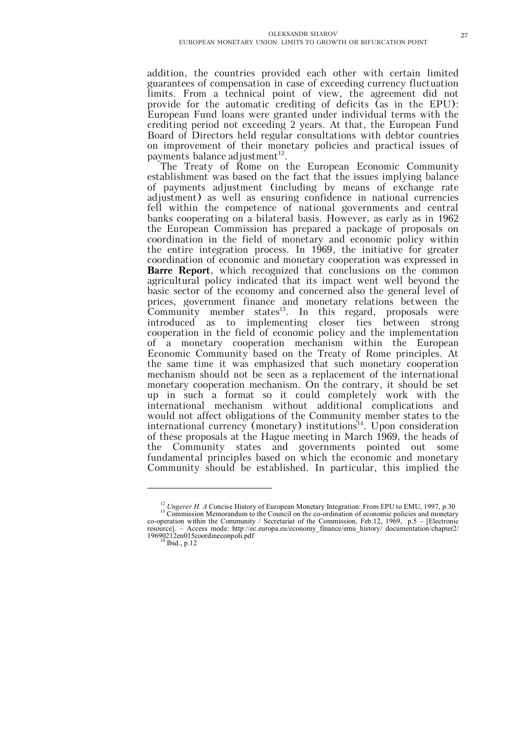addition, the countries provided each other with certain limited guarantees of compensation in case of exceeding currency fluctuation limits. From a technical point of view, the agreement did not provide for the automatic crediting of deficits (as in the EPU): European Fund loans were granted under individual terms with the crediting period not exceeding 2 years. At that, the European Fund Board of Directors held regular consultations with debtor countries on improvement of their monetary policies and practical issues of payments balance adjustment<sup>12</sup>.

The Treaty of Rome on the European Economic Community establishment was based on the fact that the issues implying balance of payments adjustment (including by means of exchange rate adjustment) as well as ensuring confidence in national currencies fell within the competence of national governments and central banks cooperating on a bilateral basis. However, as early as in 1962 the European Commission has prepared a package of proposals on coordination in the field of monetary and economic policy within the entire integration process. In 1969, the initiative for greater coordination of economic and monetary cooperation was expressed in **Barre Report**, which recognized that conclusions on the common agricultural policy indicated that its impact went well beyond the basic sector of the economy and concerned also the general level of prices, government finance and monetary relations between the Community member states<sup>13</sup>. In this regard, proposals were introduced as to implementing closer ties between strong cooperation in the field of economic policy and the implementation of a monetary cooperation mechanism within the European Economic Community based on the Treaty of Rome principles. At the same time it was emphasized that such monetary cooperation mechanism should not be seen as a replacement of the international monetary cooperation mechanism. On the contrary, it should be set up in such a format so it could completely work with the international mechanism without additional complications and would not affect obligations of the Community member states to the international currency (monetary) institutions<sup>14</sup>. Upon consideration of these proposals at the Hague meeting in March 1969, the heads of the Community states and governments pointed out some fundamental principles based on which the economic and monetary Community should be established. In particular, this implied the

<sup>&</sup>lt;sup>12</sup><sub>12</sub></sub> *Ungerer H. A* Concise History of European Monetary Integration: From EPU to EMU, 1997, p.30 <sup>13</sup> Commission Memorandum to the Council on the co-ordination of economic policies and monetary co-operation within the Community / Secretariat of the Commission, Feb.12, 1969, p.5 – [Electronic resource]. – Access mode: http://ec.europa.eu/economy\_finance/emu\_history/ documentation/chapter2/ 19690212en015coordineconpoli.pdf

 $<sup>1</sup>$  Ibid., p.12</sup>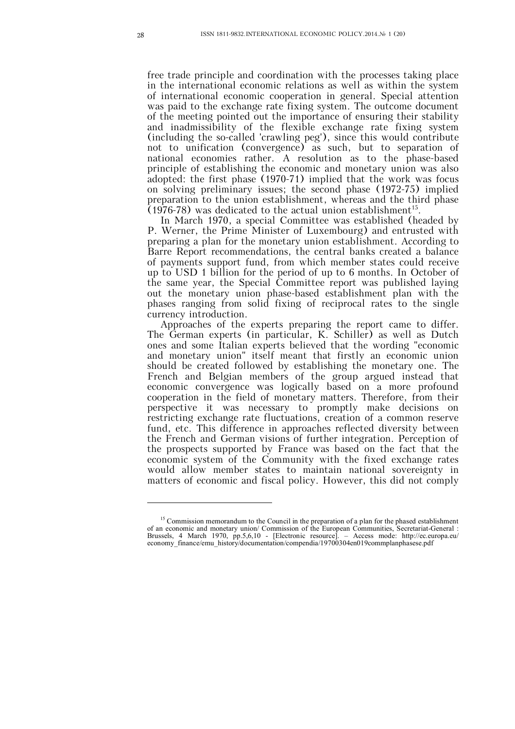free trade principle and coordination with the processes taking place in the international economic relations as well as within the system of international economic cooperation in general. Special attention was paid to the exchange rate fixing system. The outcome document of the meeting pointed out the importance of ensuring their stability and inadmissibility of the flexible exchange rate fixing system (including the so-called 'crawling peg'), since this would contribute not to unification (convergence) as such, but to separation of national economies rather. A resolution as to the phase-based principle of establishing the economic and monetary union was also adopted: the first phase (1970-71) implied that the work was focus on solving preliminary issues; the second phase (1972-75) implied preparation to the union establishment, whereas and the third phase  $(1976-78)$  was dedicated to the actual union establishment<sup>15</sup>.

In March 1970, a special Committee was established (headed by P. Werner, the Prime Minister of Luxembourg) and entrusted with preparing a plan for the monetary union establishment. According to Barre Report recommendations, the central banks created a balance of payments support fund, from which member states could receive up to USD 1 billion for the period of up to 6 months. In October of the same year, the Special Committee report was published laying out the monetary union phase-based establishment plan with the phases ranging from solid fixing of reciprocal rates to the single currency introduction.

Approaches of the experts preparing the report came to differ. The German experts (in particular, K. Schiller) as well as Dutch ones and some Italian experts believed that the wording "economic and monetary union" itself meant that firstly an economic union should be created followed by establishing the monetary one. The French and Belgian members of the group argued instead that economic convergence was logically based on a more profound cooperation in the field of monetary matters. Therefore, from their perspective it was necessary to promptly make decisions on restricting exchange rate fluctuations, creation of a common reserve fund, etc. This difference in approaches reflected diversity between the French and German visions of further integration. Perception of the prospects supported by France was based on the fact that the economic system of the Community with the fixed exchange rates would allow member states to maintain national sovereignty in matters of economic and fiscal policy. However, this did not comply

<sup>&</sup>lt;sup>15</sup> Commission memorandum to the Council in the preparation of a plan for the phased establishment of an economic and monetary union/ Commission of the European Communities, Secretariat-General : Brussels, 4 March 1970, pp.5,6,10 - [Electronic resource]. – Access mode: http://ec.europa.eu/ economy\_finance/emu\_history/documentation/compendia/19700304en019commplanphasese.pdf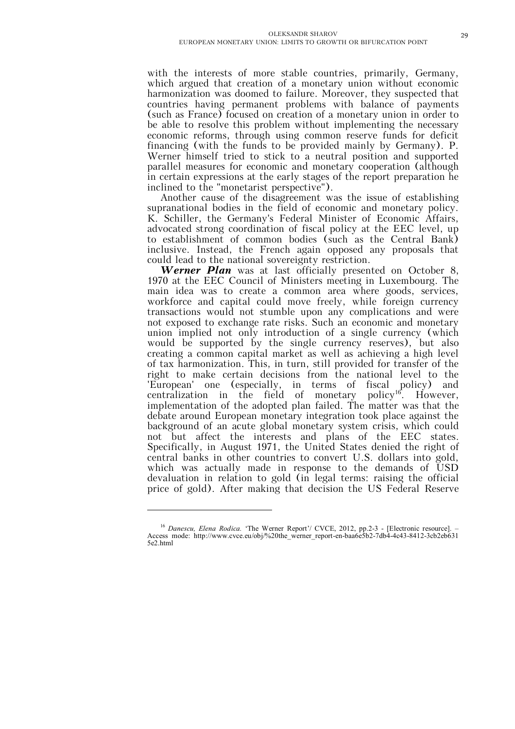with the interests of more stable countries, primarily, Germany, which argued that creation of a monetary union without economic harmonization was doomed to failure. Moreover, they suspected that countries having permanent problems with balance of payments (such as France) focused on creation of a monetary union in order to be able to resolve this problem without implementing the necessary economic reforms, through using common reserve funds for deficit financing (with the funds to be provided mainly by Germany). P. Werner himself tried to stick to a neutral position and supported parallel measures for economic and monetary cooperation (although in certain expressions at the early stages of the report preparation he inclined to the "monetarist perspective").

Another cause of the disagreement was the issue of establishing supranational bodies in the field of economic and monetary policy. K. Schiller, the Germany's Federal Minister of Economic Affairs, advocated strong coordination of fiscal policy at the EEC level, up to establishment of common bodies (such as the Central Bank) inclusive. Instead, the French again opposed any proposals that could lead to the national sovereignty restriction.

*Werner Plan* was at last officially presented on October 8, 1970 at the EEC Council of Ministers meeting in Luxembourg. The main idea was to create a common area where goods, services, workforce and capital could move freely, while foreign currency transactions would not stumble upon any complications and were not exposed to exchange rate risks. Such an economic and monetary union implied not only introduction of a single currency (which would be supported by the single currency reserves), but also creating a common capital market as well as achieving a high level of tax harmonization. This, in turn, still provided for transfer of the right to make certain decisions from the national level to the 'European' one (especially, in terms of fiscal policy) and centralization in the field of monetary policy<sup>16</sup>. However, implementation of the adopted plan failed. The matter was that the debate around European monetary integration took place against the background of an acute global monetary system crisis, which could not but affect the interests and plans of the EEC states. Specifically, in August 1971, the United States denied the right of central banks in other countries to convert U.S. dollars into gold, which was actually made in response to the demands of USD devaluation in relation to gold (in legal terms: raising the official price of gold). After making that decision the US Federal Reserve

<sup>&</sup>lt;sup>16</sup> Danescu, Elena Rodica. 'The Werner Report'/ CVCE, 2012, pp.2-3 - [Electronic resource]. Access mode: http://www.cvce.eu/obj/%20the\_werner\_report-en-baa6e5b2-7db4-4c43-8412-3cb2eb631 5e2.html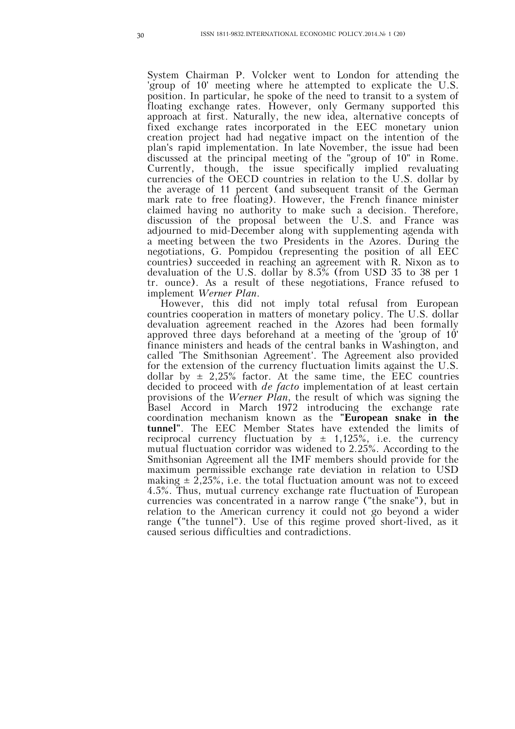System Chairman P. Volcker went to London for attending the 'group of 10' meeting where he attempted to explicate the U.S. position. In particular, he spoke of the need to transit to a system of floating exchange rates. However, only Germany supported this approach at first. Naturally, the new idea, alternative concepts of fixed exchange rates incorporated in the EEC monetary union creation project had had negative impact on the intention of the plan's rapid implementation. In late November, the issue had been discussed at the principal meeting of the "group of 10" in Rome. Currently, though, the issue specifically implied revaluating currencies of the OECD countries in relation to the U.S. dollar by the average of 11 percent (and subsequent transit of the German mark rate to free floating). However, the French finance minister claimed having no authority to make such a decision. Therefore, discussion of the proposal between the U.S. and France was adjourned to mid-December along with supplementing agenda with a meeting between the two Presidents in the Azores. During the negotiations, G. Pompidou (representing the position of all EEC countries) succeeded in reaching an agreement with R. Nixon as to devaluation of the U.S. dollar by  $8.5\%$  (from USD 35 to 38 per 1) tr. ounce). As a result of these negotiations, France refused to implement *Werner Plan*.

However, this did not imply total refusal from European countries cooperation in matters of monetary policy. The U.S. dollar devaluation agreement reached in the Azores had been formally approved three days beforehand at a meeting of the 'group of 10' finance ministers and heads of the central banks in Washington, and called 'The Smithsonian Agreement'. The Agreement also provided for the extension of the currency fluctuation limits against the U.S. dollar by  $\pm$  2,25% factor. At the same time, the EEC countries decided to proceed with *de facto* implementation of at least certain provisions of the *Werner Plan*, the result of which was signing the Basel Accord in March 1972 introducing the exchange rate coordination mechanism known as the **"European snake in the tunnel"**. The EEC Member States have extended the limits of reciprocal currency fluctuation by  $\pm$  1,125%, i.e. the currency mutual fluctuation corridor was widened to 2.25%. According to the Smithsonian Agreement all the IMF members should provide for the maximum permissible exchange rate deviation in relation to USD making  $\pm$  2,25%, i.e. the total fluctuation amount was not to exceed 4.5%. Thus, mutual currency exchange rate fluctuation of European currencies was concentrated in a narrow range ("the snake"), but in relation to the American currency it could not go beyond a wider range ("the tunnel"). Use of this regime proved short-lived, as it caused serious difficulties and contradictions.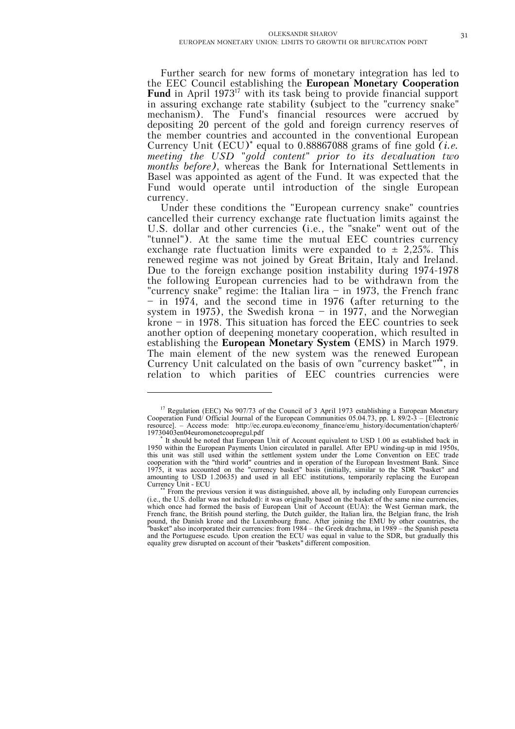Further search for new forms of monetary integration has led to the EEC Council establishing the **European Monetary Cooperation Fund** in April 1973<sup>17</sup> with its task being to provide financial support in assuring exchange rate stability (subject to the "currency snake" mechanism). The Fund's financial resources were accrued by depositing 20 percent of the gold and foreign currency reserves of the member countries and accounted in the conventional European Currency Unit  $(ECU)^*$  equal to 0.88867088 grams of fine gold  $(i.e.$ *meeting the USD "gold content" prior to its devaluation two months before)*, whereas the Bank for International Settlements in Basel was appointed as agent of the Fund. It was expected that the Fund would operate until introduction of the single European currency.

Under these conditions the "European currency snake" countries cancelled their currency exchange rate fluctuation limits against the U.S. dollar and other currencies (i.e., the "snake" went out of the "tunnel"). At the same time the mutual EEC countries currency exchange rate fluctuation limits were expanded to  $\pm$  2,25%. This renewed regime was not joined by Great Britain, Italy and Ireland. Due to the foreign exchange position instability during 1974-1978 the following European currencies had to be withdrawn from the "currency snake" regime: the Italian lira – in 1973, the French franc – in 1974, and the second time in 1976 (after returning to the system in 1975), the Swedish krona  $-$  in 1977, and the Norwegian krone – in 1978. This situation has forced the EEC countries to seek another option of deepening monetary cooperation, which resulted in establishing the **European Monetary System** (EMS) in March 1979. The main element of the new system was the renewed European Currency Unit calculated on the basis of own "currency basket"\*\*, in relation to which parities of EEC countries currencies were

<sup>&</sup>lt;sup>17</sup> Regulation (EEC) No 907/73 of the Council of 3 April 1973 establishing a European Monetary Cooperation Fund/ Official Journal of the European Communities 05.04.73, pp. L 89/2-3 – [Electronic resource]. – Access mode: http://ec.europa.eu/economy\_finance/emu\_history/documentation/chapter6/ 19730403en04euromonetcoopregul.pdf

It should be noted that European Unit of Account equivalent to USD 1.00 as established back in 1950 within the European Payments Union circulated in parallel. After EPU winding-up in mid 1950s, this unit was still used within the settlement system under the Lome Convention on EEC trade cooperation with the "third world" countries and in operation of the European Investment Bank. Since 1975, it was accounted on the "currency basket" basis (initially, similar to the SDR "basket" and amounting to USD 1.20635) and used in all EEC institutions, temporarily replacing the European Currency Unit - ECU

From the previous version it was distinguished, above all, by including only European currencies (i.e., the U.S. dollar was not included): it was originally based on the basket of the same nine currencies, which once had formed the basis of European Unit of Account (EUA): the West German mark, the French franc, the British pound sterling, the Dutch guilder, the Italian lira, the Belgian franc, the Irish pound, the Danish krone and the Luxembourg franc. After joining the EMU by other countries, the "basket" also incorporated their currencies: from 1984 – the Greek drachma, in 1989 – the Spanish peseta and the Portuguese escudo. Upon creation the ECU was equal in value to the SDR, but gradually this equality grew disrupted on account of their "baskets" different composition.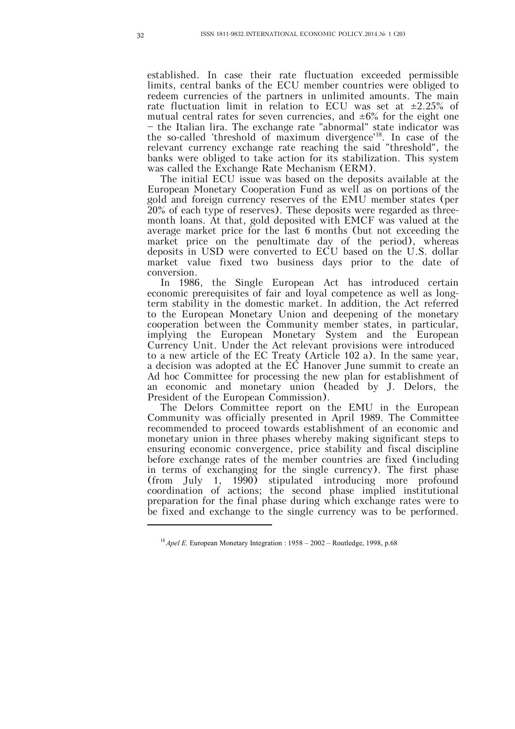established. In case their rate fluctuation exceeded permissible limits, central banks of the ECU member countries were obliged to redeem currencies of the partners in unlimited amounts. The main rate fluctuation limit in relation to ECU was set at  $\pm 2.25\%$  of mutual central rates for seven currencies, and  $\pm 6\%$  for the eight one – the Italian lira. The exchange rate "abnormal" state indicator was the so-called 'threshold of maximum divergence'<sup>18</sup> . In case of the relevant currency exchange rate reaching the said "threshold", the banks were obliged to take action for its stabilization. This system was called the Exchange Rate Mechanism (ERM).

The initial ECU issue was based on the deposits available at the European Monetary Cooperation Fund as well as on portions of the gold and foreign currency reserves of the EMU member states (per 20% of each type of reserves). These deposits were regarded as threemonth loans. At that, gold deposited with EMCF was valued at the average market price for the last 6 months (but not exceeding the market price on the penultimate day of the period), whereas deposits in USD were converted to ECU based on the U.S. dollar market value fixed two business days prior to the date of conversion.

In 1986, the Single European Act has introduced certain economic prerequisites of fair and loyal competence as well as longterm stability in the domestic market. In addition, the Act referred to the European Monetary Union and deepening of the monetary cooperation between the Community member states, in particular, implying the European Monetary System and the European Currency Unit. Under the Act relevant provisions were introduced to a new article of the EC Treaty (Article 102 a). In the same year, a decision was adopted at the EC Hanover June summit to create an Ad hoc Committee for processing the new plan for establishment of an economic and monetary union (headed by J. Delors, the President of the European Commission).

The Delors Committee report on the EMU in the European Community was officially presented in April 1989. The Committee recommended to proceed towards establishment of an economic and monetary union in three phases whereby making significant steps to ensuring economic convergence, price stability and fiscal discipline before exchange rates of the member countries are fixed (including in terms of exchanging for the single currency). The first phase (from July 1, 1990) stipulated introducing more profound coordination of actions; the second phase implied institutional preparation for the final phase during which exchange rates were to be fixed and exchange to the single currency was to be performed.

<sup>&</sup>lt;sup>18</sup> *Apel E.* European Monetary Integration : 1958 – 2002 – Routledge, 1998, p.68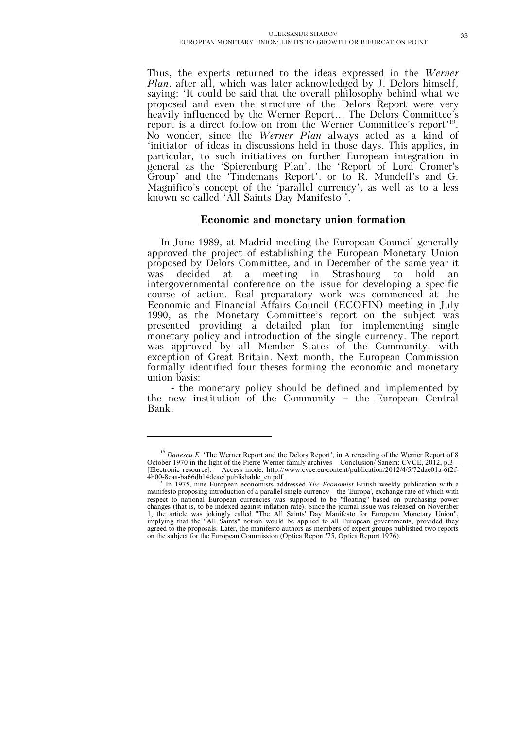Thus, the experts returned to the ideas expressed in the *Werner Plan*, after all, which was later acknowledged by J. Delors himself, saying: 'It could be said that the overall philosophy behind what we proposed and even the structure of the Delors Report were very heavily influenced by the Werner Report... The Delors Committee's report is a direct follow-on from the Werner Committee's report'<sup>19</sup>. No wonder, since the *Werner Plan* always acted as a kind of 'initiator' of ideas in discussions held in those days. This applies, in particular, to such initiatives on further European integration in general as the 'Spierenburg Plan', the 'Report of Lord Cromer's Group' and the 'Tindemans Report', or to R. Mundell's and G. Magnifico's concept of the 'parallel currency', as well as to a less known so-called 'All Saints Day Manifesto' .

## **Economic and monetary union formation**

In June 1989, at Madrid meeting the European Council generally approved the project of establishing the European Monetary Union proposed by Delors Committee, and in December of the same year it was decided at a meeting in Strasbourg to hold intergovernmental conference on the issue for developing a specific course of action. Real preparatory work was commenced at the Economic and Financial Affairs Council (ECOFIN) meeting in July 1990, as the Monetary Committee's report on the subject was presented providing a detailed plan for implementing single monetary policy and introduction of the single currency. The report was approved by all Member States of the Community, with exception of Great Britain. Next month, the European Commission formally identified four theses forming the economic and monetary union basis:

 - the monetary policy should be defined and implemented by the new institution of the Community – the European Central Bank.

<sup>&</sup>lt;sup>19</sup> Danescu E. 'The Werner Report and the Delors Report', in A rereading of the Werner Report of 8 October 1970 in the light of the Pierre Werner family archives – Conclusion/ Sanem: CVCE, 2012, p.3 – [Electronic resource]. – Access mode: http://www.cvce.eu/content/publication/2012/4/5/72dae01a-6f2f-4b00-8caa-ba66db14dcac/ publishable\_en.pdf

In 1975, nine European economists addressed *The Economist* British weekly publication with a manifesto proposing introduction of a parallel single currency – the 'Europa', exchange rate of which with respect to national European currencies was supposed to be "floating" based on purchasing power changes (that is, to be indexed against inflation rate). Since the journal issue was released on November 1, the article was jokingly called "The All Saints' Day Manifesto for European Monetary Union", implying that the "All Saints" notion would be applied to all European governments, provided they agreed to the proposals. Later, the manifesto authors as members of expert groups published two reports on the subject for the European Commission (Optica Report '75, Optica Report 1976).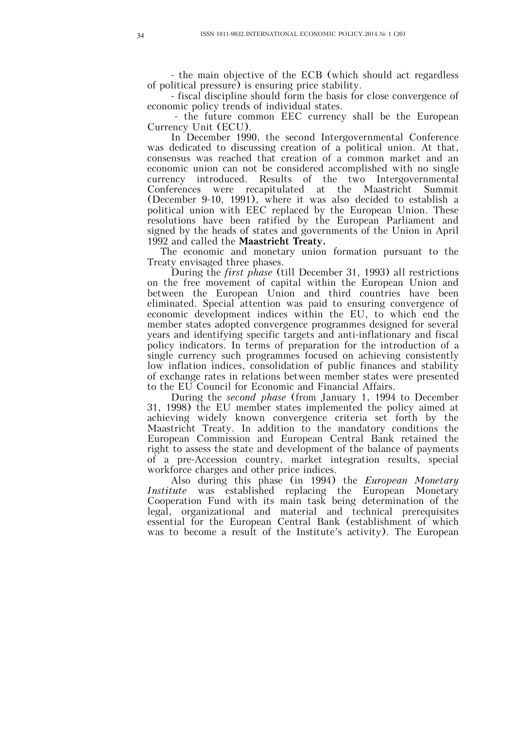- the main objective of the ECB (which should act regardless of political pressure) is ensuring price stability.

 - fiscal discipline should form the basis for close convergence of economic policy trends of individual states.

 - the future common EEC currency shall be the European Currency Unit (ECU).

 In December 1990, the second Intergovernmental Conference was dedicated to discussing creation of a political union. At that, consensus was reached that creation of a common market and an economic union can not be considered accomplished with no single currency introduced. Results of the two Intergovernmental Conferences were recapitulated at the Maastricht Summit (December 9-10, 1991), where it was also decided to establish a political union with EEC replaced by the European Union. These resolutions have been ratified by the European Parliament and signed by the heads of states and governments of the Union in April 1992 and called the **Maastricht Treaty.**

The economic and monetary union formation pursuant to the Treaty envisaged three phases.

 During the *first phase* (till December 31, 1993) all restrictions on the free movement of capital within the European Union and between the European Union and third countries have been eliminated. Special attention was paid to ensuring convergence of economic development indices within the EU, to which end the member states adopted convergence programmes designed for several years and identifying specific targets and anti-inflationary and fiscal policy indicators. In terms of preparation for the introduction of a single currency such programmes focused on achieving consistently low inflation indices, consolidation of public finances and stability of exchange rates in relations between member states were presented to the EU Council for Economic and Financial Affairs.

 During the *second phase* (from January 1, 1994 to December 31, 1998) the EU member states implemented the policy aimed at achieving widely known convergence criteria set forth by the Maastricht Treaty. In addition to the mandatory conditions the European Commission and European Central Bank retained the right to assess the state and development of the balance of payments of a pre-Accession country, market integration results, special workforce charges and other price indices.

 Also during this phase (in 1994) the *European Monetary Institute* was established replacing the European Monetary Cooperation Fund with its main task being determination of the legal, organizational and material and technical prerequisites essential for the European Central Bank (establishment of which was to become a result of the Institute's activity). The European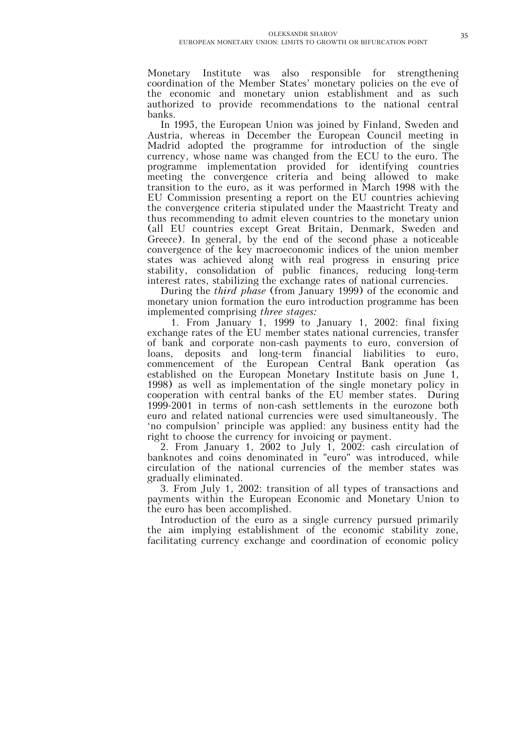Monetary Institute was also responsible for strengthening coordination of the Member States' monetary policies on the eve of the economic and monetary union establishment and as such authorized to provide recommendations to the national central banks.

In 1995, the European Union was joined by Finland, Sweden and Austria, whereas in December the European Council meeting in Madrid adopted the programme for introduction of the single currency, whose name was changed from the ECU to the euro. The programme implementation provided for identifying countries meeting the convergence criteria and being allowed to make transition to the euro, as it was performed in March 1998 with the EU Commission presenting a report on the EU countries achieving the convergence criteria stipulated under the Maastricht Treaty and thus recommending to admit eleven countries to the monetary union (all EU countries except Great Britain, Denmark, Sweden and Greece). In general, by the end of the second phase a noticeable convergence of the key macroeconomic indices of the union member states was achieved along with real progress in ensuring price stability, consolidation of public finances, reducing long-term interest rates, stabilizing the exchange rates of national currencies.

During the *third phase* (from January 1999) of the economic and monetary union formation the euro introduction programme has been implemented comprising *three stages:*

 1. From January 1, 1999 to January 1, 2002: final fixing exchange rates of the EU member states national currencies, transfer of bank and corporate non-cash payments to euro, conversion of loans, deposits and long-term financial liabilities to euro, commencement of the European Central Bank operation (as established on the European Monetary Institute basis on June 1, 1998) as well as implementation of the single monetary policy in cooperation with central banks of the EU member states. During 1999-2001 in terms of non-cash settlements in the eurozone both euro and related national currencies were used simultaneously. The 'no compulsion' principle was applied: any business entity had the right to choose the currency for invoicing or payment.

2. From January 1, 2002 to July 1, 2002: cash circulation of banknotes and coins denominated in "euro" was introduced, while circulation of the national currencies of the member states was gradually eliminated.

3. From July 1, 2002: transition of all types of transactions and payments within the European Economic and Monetary Union to the euro has been accomplished.

Introduction of the euro as a single currency pursued primarily the aim implying establishment of the economic stability zone, facilitating currency exchange and coordination of economic policy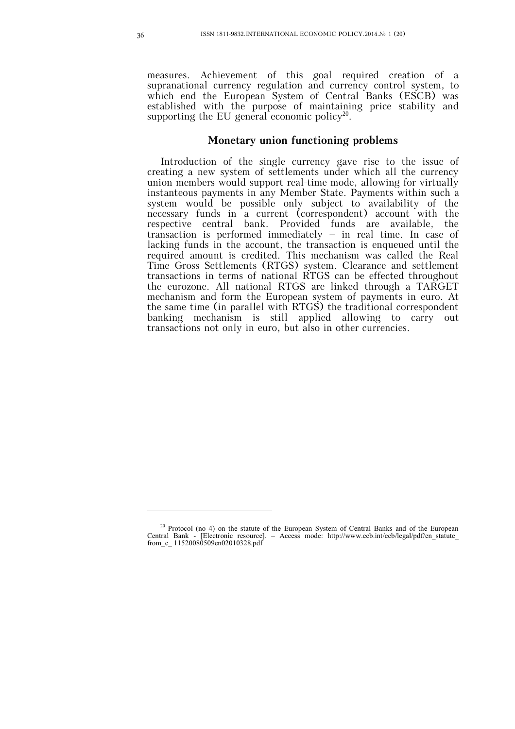measures. Achievement of this goal required creation of a supranational currency regulation and currency control system, to which end the European System of Central Banks (ESCB) was established with the purpose of maintaining price stability and supporting the EU general economic policy<sup>20</sup>.

#### **Monetary union functioning problems**

Introduction of the single currency gave rise to the issue of creating a new system of settlements under which all the currency union members would support real-time mode, allowing for virtually instanteous payments in any Member State. Payments within such a system would be possible only subject to availability of the necessary funds in a current (correspondent) account with the respective central bank. Provided funds are available, the transaction is performed immediately  $-$  in real time. In case of lacking funds in the account, the transaction is enqueued until the required amount is credited. This mechanism was called the Real Time Gross Settlements (RTGS) system. Clearance and settlement transactions in terms of national RTGS can be effected throughout the eurozone. All national RTGS are linked through a TARGET mechanism and form the European system of payments in euro. At the same time (in parallel with  $RTGS$ ) the traditional correspondent banking mechanism is still applied allowing to carry out transactions not only in euro, but also in other currencies.

<sup>&</sup>lt;sup>20</sup> Protocol (no 4) on the statute of the European System of Central Banks and of the European Central Bank - [Electronic resource]. – Access mode: http://www.ecb.int/ecb/legal/pdf/en\_statute\_ from\_c\_ 11520080509en02010328.pdf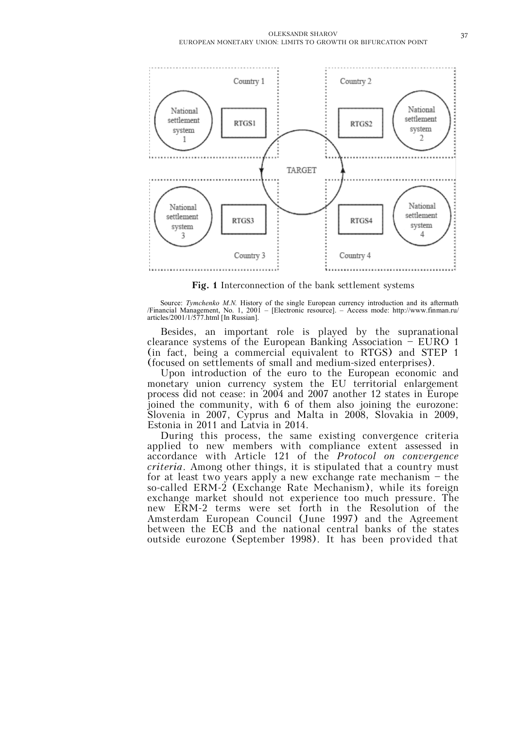

**Fig. 1** Interconnection of the bank settlement systems

Source: *Tymchenko M.N.* History of the single European currency introduction and its aftermath /Financial Management, No. 1, 2001 – [Electronic resource]. – Access mode: http://www.finman.ru/ articles/2001/1/577.html [In Russian].

Besides, an important role is played by the supranational clearance systems of the European Banking Association – EURO 1 (in fact, being a commercial equivalent to RTGS) and STEP 1 (focused on settlements of small and medium-sized enterprises).

Upon introduction of the euro to the European economic and monetary union currency system the EU territorial enlargement process did not cease: in 2004 and 2007 another 12 states in Europe joined the community, with 6 of them also joining the eurozone: Slovenia in 2007, Cyprus and Malta in 2008, Slovakia in 2009, Estonia in 2011 and Latvia in 2014.

During this process, the same existing convergence criteria applied to new members with compliance extent assessed in accordance with Article 121 of the *Protocol on convergence criteria*. Among other things, it is stipulated that a country must for at least two years apply a new exchange rate mechanism – the so-called ERM-2 (Exchange Rate Mechanism), while its foreign exchange market should not experience too much pressure. The new ERM-2 terms were set forth in the Resolution of the Amsterdam European Council (June 1997) and the Agreement between the ECB and the national central banks of the states outside eurozone (September 1998). It has been provided that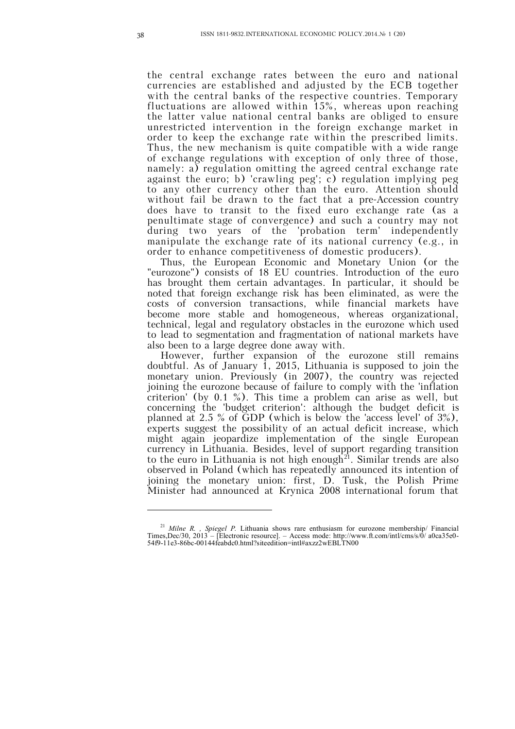the central exchange rates between the euro and national currencies are established and adjusted by the ECB together with the central banks of the respective countries. Temporary fluctuations are allowed within 15%, whereas upon reaching the latter value national central banks are obliged to ensure unrestricted intervention in the foreign exchange market in order to keep the exchange rate within the prescribed limits. Thus, the new mechanism is quite compatible with a wide range of exchange regulations with exception of only three of those, namely: a) regulation omitting the agreed central exchange rate against the euro; b) 'crawling peg'; c) regulation implying peg to any other currency other than the euro. Attention should without fail be drawn to the fact that a pre-Accession country does have to transit to the fixed euro exchange rate (as a penultimate stage of convergence) and such a country may not during two years of the 'probation term' independently manipulate the exchange rate of its national currency (e.g., in order to enhance competitiveness of domestic producers).

Thus, the European Economic and Monetary Union (or the "eurozone") consists of 18 EU countries. Introduction of the euro has brought them certain advantages. In particular, it should be noted that foreign exchange risk has been eliminated, as were the costs of conversion transactions, while financial markets have become more stable and homogeneous, whereas organizational, technical, legal and regulatory obstacles in the eurozone which used to lead to segmentation and fragmentation of national markets have also been to a large degree done away with.

However, further expansion of the eurozone still remains doubtful. As of January 1, 2015, Lithuania is supposed to join the monetary union. Previously (in 2007), the country was rejected joining the eurozone because of failure to comply with the 'inflation criterion' (by 0.1 %). This time a problem can arise as well, but concerning the 'budget criterion': although the budget deficit is planned at 2.5 % of GDP (which is below the 'access level' of 3%), experts suggest the possibility of an actual deficit increase, which might again jeopardize implementation of the single European currency in Lithuania. Besides, level of support regarding transition to the euro in Lithuania is not high enough<sup>21</sup>. Similar trends are also observed in Poland (which has repeatedly announced its intention of joining the monetary union: first, D. Tusk, the Polish Prime Minister had announced at Krynica 2008 international forum that

<sup>21</sup> *Milne R. , Spiegel P.* Lithuania shows rare enthusiasm for eurozone membership/ Financial Times,Dec/30, 2013 – [Electronic resource]. – Access mode: http://www.ft.com/intl/cms/s/0/ a0ca35e0- 54f9-11e3-86bc-00144feabdc0.html?siteedition=intl#axzz2wEBLTN00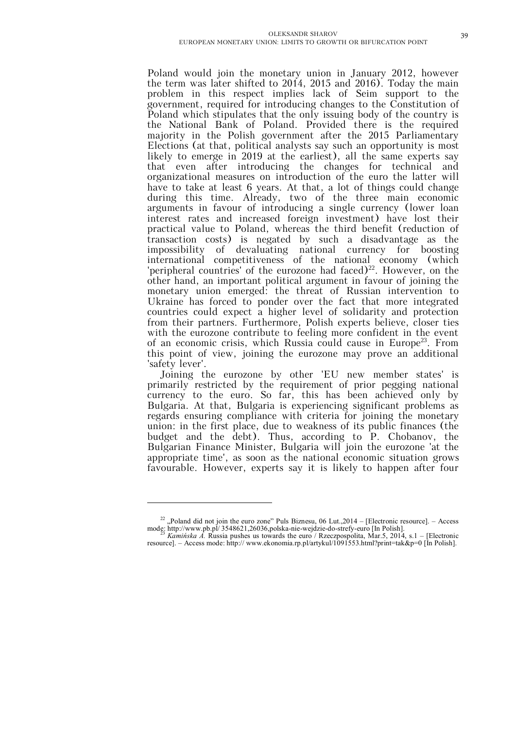Poland would join the monetary union in January 2012, however the term was later shifted to 2014, 2015 and 2016). Today the main problem in this respect implies lack of Seim support to the government, required for introducing changes to the Constitution of Poland which stipulates that the only issuing body of the country is the National Bank of Poland. Provided there is the required majority in the Polish government after the 2015 Parliamentary Elections (at that, political analysts say such an opportunity is most likely to emerge in 2019 at the earliest), all the same experts say that even after introducing the changes for technical and organizational measures on introduction of the euro the latter will have to take at least 6 years. At that, a lot of things could change during this time. Already, two of the three main economic arguments in favour of introducing a single currency (lower loan interest rates and increased foreign investment) have lost their practical value to Poland, whereas the third benefit (reduction of transaction costs) is negated by such a disadvantage as the impossibility of devaluating national currency for boosting international competitiveness of the national economy (which 'peripheral countries' of the eurozone had faced) $22$ . However, on the other hand, an important political argument in favour of joining the monetary union emerged: the threat of Russian intervention to Ukraine has forced to ponder over the fact that more integrated countries could expect a higher level of solidarity and protection from their partners. Furthermore, Polish experts believe, closer ties with the eurozone contribute to feeling more confident in the event of an economic crisis, which Russia could cause in Europe<sup>23</sup>. From this point of view, joining the eurozone may prove an additional 'safety lever'.

Joining the eurozone by other 'EU new member states' is primarily restricted by the requirement of prior pegging national currency to the euro. So far, this has been achieved only by Bulgaria. At that, Bulgaria is experiencing significant problems as regards ensuring compliance with criteria for joining the monetary union: in the first place, due to weakness of its public finances (the budget and the debt). Thus, according to P. Chobanov, the Bulgarian Finance Minister, Bulgaria will join the eurozone 'at the appropriate time', as soon as the national economic situation grows favourable. However, experts say it is likely to happen after four

 $22$ , Poland did not join the euro zone" Puls Biznesu, 06 Lut., 2014 – [Electronic resource]. – Access mode: http://www.pb.pl/ 3548621,26036,polska-nie-wejdzie-do-strefy-euro [In Polish]. <sup>23</sup> *Kamińska A.* Russia pushes us towards the euro / Rzeczpospolita, Mar.5, 2014, s.1 – [Electronic

resource]. – Access mode: http:// www.ekonomia.rp.pl/artykul/1091553.html?print=tak&p=0 [In Polish].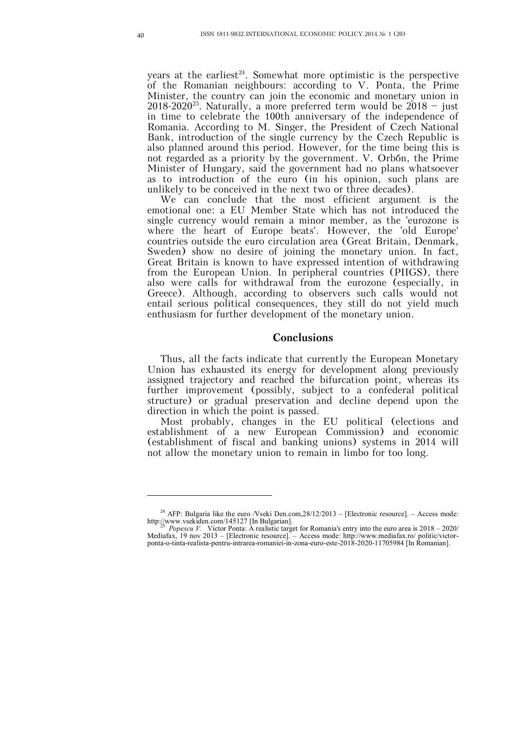years at the earliest<sup>24</sup>. Somewhat more optimistic is the perspective of the Romanian neighbours: according to V. Ponta, the Prime Minister, the country can join the economic and monetary union in  $2018-2020^{25}$ . Naturally, a more preferred term would be  $2018 - \text{just}$ in time to celebrate the 100th anniversary of the independence of Romania. According to M. Singer, the President of Czech National Bank, introduction of the single currency by the Czech Republic is also planned around this period. However, for the time being this is not regarded as a priority by the government. V. Orbán, the Prime Minister of Hungary, said the government had no plans whatsoever as to introduction of the euro (in his opinion, such plans are unlikely to be conceived in the next two or three decades).

We can conclude that the most efficient argument is the emotional one: a EU Member State which has not introduced the single currency would remain a minor member, as the 'eurozone is where the heart of Europe beats'. However, the 'old Europe' countries outside the euro circulation area (Great Britain, Denmark, Sweden) show no desire of joining the monetary union. In fact, Great Britain is known to have expressed intention of withdrawing from the European Union. In peripheral countries (PIIGS), there also were calls for withdrawal from the eurozone (especially, in Greece). Although, according to observers such calls would not entail serious political consequences, they still do not yield much enthusiasm for further development of the monetary union.

#### **Conclusions**

Thus, all the facts indicate that currently the European Monetary Union has exhausted its energy for development along previously assigned trajectory and reached the bifurcation point, whereas its further improvement (possibly, subject to a confederal political structure) or gradual preservation and decline depend upon the direction in which the point is passed.

Most probably, changes in the EU political (elections and establishment of a new European Commission) and economic (establishment of fiscal and banking unions) systems in 2014 will not allow the monetary union to remain in limbo for too long.

<sup>&</sup>lt;sup>24</sup> AFP: Bulgaria like the euro /Vseki Den.com,  $28/12/2013$  – [Electronic resource]. – Access mode: http://www.vsekiden.com/145127 [In Bulgarian].<br><sup>25</sup> *Popescu V.* Victor Ponta: A realistic target for Romania's entry into the euro area is 2018 – 2020/

Mediafax, 19 nov 2013 – [Electronic resource]. – Access mode: http://www.mediafax.ro/ politic/victorponta-o-tinta-realista-pentru-intrarea-romaniei-in-zona-euro-este-2018-2020-11705984 [In Romanian].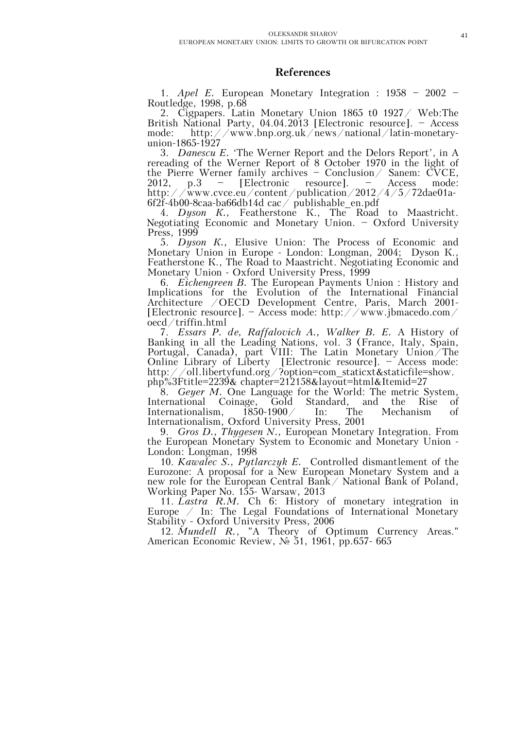## **References**

1. *Apel E.* European Monetary Integration : 1958 – 2002 – Routledge, 1998, p.68

2. Cigpapers. Latin Monetary Union 1865 t0 1927/ Web:The British National Party, 04.04.2013 [Electronic resource]. – Access mode: http://www.bnp.org.uk/news/national/latin-monetaryunion-1865-1927

3. *Danescu E.* 'The Werner Report and the Delors Report', in A rereading of the Werner Report of 8 October 1970 in the light of the Pierre Werner family archives – Conclusion/ Sanem: CVCE, 2012, p.3 – [Electronic resource]. – Access mode: http://www.cvce.eu/content/publication/2012/4/5/72dae01a-6f2f-4b00-8caa-ba66db14d cac/ publishable\_en.pdf

4. *Dyson K.*, Featherstone K., The Road to Maastricht. Negotiating Economic and Monetary Union. – Oxford University Press, 1999

5. *Dyson К.,* Elusive Union: The Process of Economic and Monetary Union in Europe - London: Longman, 2004; Dyson К., Featherstone К., The Road to Maastricht. Negotiating Economic and Monetary Union - Oxford University Press, 1999

6. *Eichengreen B.* The European Payments Union : History and Implications for the Evolution of the International Financial Architecture /OECD Development Centre, Paris, March 2001- [Electronic resource]. – Access mode: http://www.jbmacedo.com/ oecd/triffin.html

7. *Essars P. de, Raffalovich A., Walker B. E.* A History of Banking in all the Leading Nations, vol. 3 (France, Italy, Spain, Portugal, Canada), part VIII: The Latin Monetary Union/The Online Library of Liberty [Electronic resource]. – Access mode: http://oll.libertyfund.org/?option=com\_staticxt&staticfile=show. php%3Ftitle=2239& chapter=212158&layout=html&Itemid=27

8. *Geyer M.* One Language for the World: The metric System, International Coinage, Gold Standard, and the Rise of Internationalism, 1850-1900/ In: The Mechanism of Internationalism, 1850-1900/ In: The Mechanism of Internationalism, Oxford University Press, 2001

9. *Gros D., Thygesen N.,* European Monetary Integration. From the European Monetary System to Economic and Monetary Union - London: Longman, 1998

10. *Kawalec S., Pytlarczyk E.* Controlled dismantlement of the Eurozone: A proposal for a New European Monetary System and a new role for the European Central Bank/ National Bank of Poland, Working Paper No. 155- Warsaw, 2013

11. *Lastra R.M.* Ch 6: History of monetary integration in Europe  $\angle$  In: The Legal Foundations of International Monetary Stability - Oxford University Press, 2006

12. *Mundell R.*, "A Theory of Optimum Currency Areas." American Economic Review, № 51, 1961, рр.657- 665